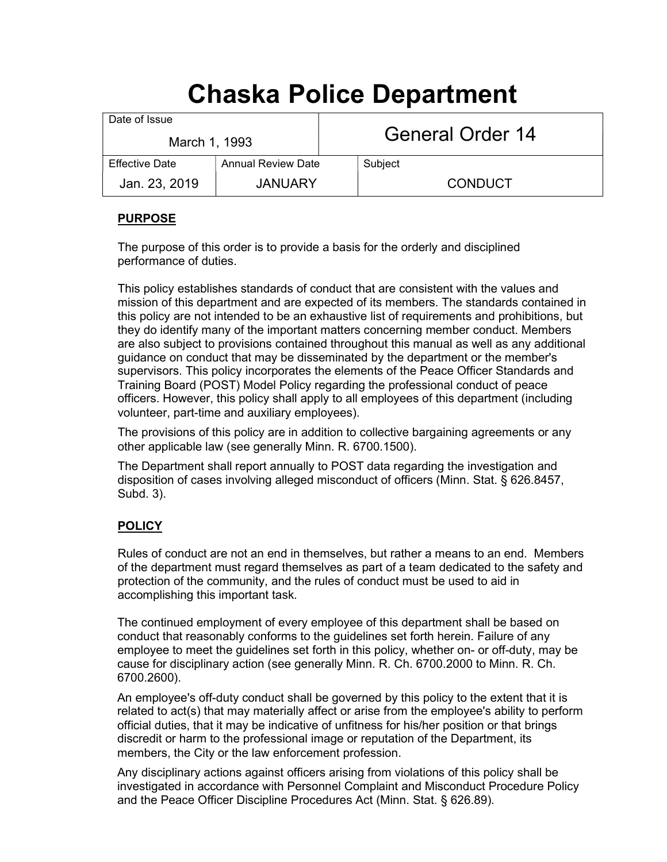# Chaska Police Department

| Date of Issue         |                           |  | <b>General Order 14</b> |  |
|-----------------------|---------------------------|--|-------------------------|--|
| March 1, 1993         |                           |  |                         |  |
| <b>Effective Date</b> | <b>Annual Review Date</b> |  | Subject                 |  |
| Jan. 23, 2019         | JANUARY                   |  | <b>CONDUCT</b>          |  |

# PURPOSE

The purpose of this order is to provide a basis for the orderly and disciplined performance of duties.

This policy establishes standards of conduct that are consistent with the values and mission of this department and are expected of its members. The standards contained in this policy are not intended to be an exhaustive list of requirements and prohibitions, but they do identify many of the important matters concerning member conduct. Members are also subject to provisions contained throughout this manual as well as any additional guidance on conduct that may be disseminated by the department or the member's supervisors. This policy incorporates the elements of the Peace Officer Standards and Training Board (POST) Model Policy regarding the professional conduct of peace officers. However, this policy shall apply to all employees of this department (including volunteer, part-time and auxiliary employees).

The provisions of this policy are in addition to collective bargaining agreements or any other applicable law (see generally Minn. R. 6700.1500).

The Department shall report annually to POST data regarding the investigation and disposition of cases involving alleged misconduct of officers (Minn. Stat. § 626.8457, Subd. 3).

# **POLICY**

Rules of conduct are not an end in themselves, but rather a means to an end. Members of the department must regard themselves as part of a team dedicated to the safety and protection of the community, and the rules of conduct must be used to aid in accomplishing this important task.

The continued employment of every employee of this department shall be based on conduct that reasonably conforms to the guidelines set forth herein. Failure of any employee to meet the guidelines set forth in this policy, whether on- or off-duty, may be cause for disciplinary action (see generally Minn. R. Ch. 6700.2000 to Minn. R. Ch. 6700.2600).

An employee's off-duty conduct shall be governed by this policy to the extent that it is related to act(s) that may materially affect or arise from the employee's ability to perform official duties, that it may be indicative of unfitness for his/her position or that brings discredit or harm to the professional image or reputation of the Department, its members, the City or the law enforcement profession.

Any disciplinary actions against officers arising from violations of this policy shall be investigated in accordance with Personnel Complaint and Misconduct Procedure Policy and the Peace Officer Discipline Procedures Act (Minn. Stat. § 626.89).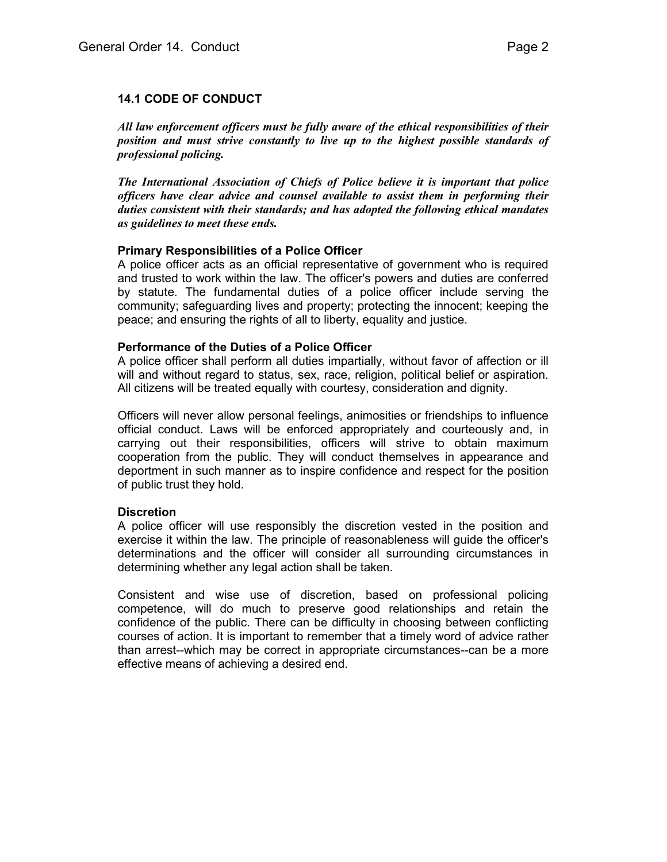#### 14.1 CODE OF CONDUCT

All law enforcement officers must be fully aware of the ethical responsibilities of their position and must strive constantly to live up to the highest possible standards of professional policing.

The International Association of Chiefs of Police believe it is important that police officers have clear advice and counsel available to assist them in performing their duties consistent with their standards; and has adopted the following ethical mandates as guidelines to meet these ends.

#### Primary Responsibilities of a Police Officer

A police officer acts as an official representative of government who is required and trusted to work within the law. The officer's powers and duties are conferred by statute. The fundamental duties of a police officer include serving the community; safeguarding lives and property; protecting the innocent; keeping the peace; and ensuring the rights of all to liberty, equality and justice.

#### Performance of the Duties of a Police Officer

A police officer shall perform all duties impartially, without favor of affection or ill will and without regard to status, sex, race, religion, political belief or aspiration. All citizens will be treated equally with courtesy, consideration and dignity.

Officers will never allow personal feelings, animosities or friendships to influence official conduct. Laws will be enforced appropriately and courteously and, in carrying out their responsibilities, officers will strive to obtain maximum cooperation from the public. They will conduct themselves in appearance and deportment in such manner as to inspire confidence and respect for the position of public trust they hold.

#### **Discretion**

A police officer will use responsibly the discretion vested in the position and exercise it within the law. The principle of reasonableness will guide the officer's determinations and the officer will consider all surrounding circumstances in determining whether any legal action shall be taken.

Consistent and wise use of discretion, based on professional policing competence, will do much to preserve good relationships and retain the confidence of the public. There can be difficulty in choosing between conflicting courses of action. It is important to remember that a timely word of advice rather than arrest--which may be correct in appropriate circumstances--can be a more effective means of achieving a desired end.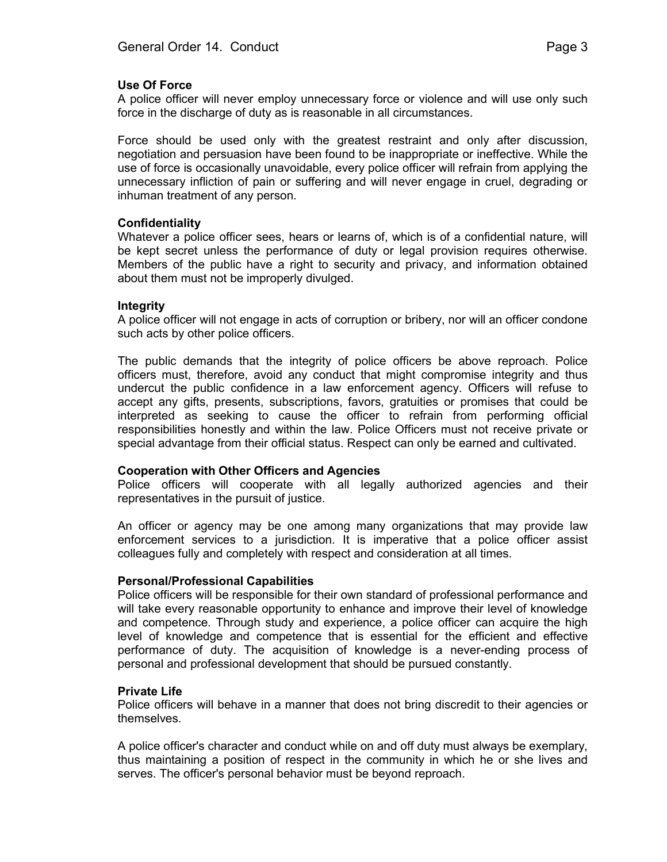#### Use Of Force

A police officer will never employ unnecessary force or violence and will use only such force in the discharge of duty as is reasonable in all circumstances.

Force should be used only with the greatest restraint and only after discussion, negotiation and persuasion have been found to be inappropriate or ineffective. While the use of force is occasionally unavoidable, every police officer will refrain from applying the unnecessary infliction of pain or suffering and will never engage in cruel, degrading or inhuman treatment of any person.

#### **Confidentiality**

Whatever a police officer sees, hears or learns of, which is of a confidential nature, will be kept secret unless the performance of duty or legal provision requires otherwise. Members of the public have a right to security and privacy, and information obtained about them must not be improperly divulged.

#### Integrity

A police officer will not engage in acts of corruption or bribery, nor will an officer condone such acts by other police officers.

The public demands that the integrity of police officers be above reproach. Police officers must, therefore, avoid any conduct that might compromise integrity and thus undercut the public confidence in a law enforcement agency. Officers will refuse to accept any gifts, presents, subscriptions, favors, gratuities or promises that could be interpreted as seeking to cause the officer to refrain from performing official responsibilities honestly and within the law. Police Officers must not receive private or special advantage from their official status. Respect can only be earned and cultivated.

#### Cooperation with Other Officers and Agencies

Police officers will cooperate with all legally authorized agencies and their representatives in the pursuit of justice.

An officer or agency may be one among many organizations that may provide law enforcement services to a jurisdiction. It is imperative that a police officer assist colleagues fully and completely with respect and consideration at all times.

#### Personal/Professional Capabilities

Police officers will be responsible for their own standard of professional performance and will take every reasonable opportunity to enhance and improve their level of knowledge and competence. Through study and experience, a police officer can acquire the high level of knowledge and competence that is essential for the efficient and effective performance of duty. The acquisition of knowledge is a never-ending process of personal and professional development that should be pursued constantly.

#### Private Life

Police officers will behave in a manner that does not bring discredit to their agencies or themselves.

A police officer's character and conduct while on and off duty must always be exemplary, thus maintaining a position of respect in the community in which he or she lives and serves. The officer's personal behavior must be beyond reproach.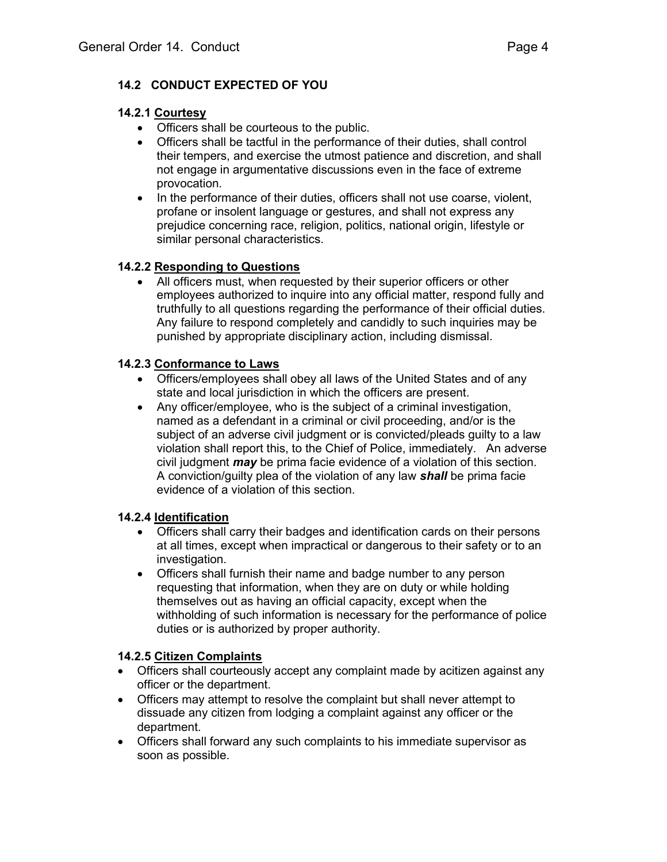## 14.2 CONDUCT EXPECTED OF YOU

### 14.2.1 Courtesy

- Officers shall be courteous to the public.
- Officers shall be tactful in the performance of their duties, shall control their tempers, and exercise the utmost patience and discretion, and shall not engage in argumentative discussions even in the face of extreme provocation.
- In the performance of their duties, officers shall not use coarse, violent, profane or insolent language or gestures, and shall not express any prejudice concerning race, religion, politics, national origin, lifestyle or similar personal characteristics.

## 14.2.2 Responding to Questions

 All officers must, when requested by their superior officers or other employees authorized to inquire into any official matter, respond fully and truthfully to all questions regarding the performance of their official duties. Any failure to respond completely and candidly to such inquiries may be punished by appropriate disciplinary action, including dismissal.

#### 14.2.3 Conformance to Laws

- Officers/employees shall obey all laws of the United States and of any state and local jurisdiction in which the officers are present.
- Any officer/employee, who is the subject of a criminal investigation, named as a defendant in a criminal or civil proceeding, and/or is the subject of an adverse civil judgment or is convicted/pleads guilty to a law violation shall report this, to the Chief of Police, immediately. An adverse civil judgment *may* be prima facie evidence of a violation of this section. A conviction/guilty plea of the violation of any law **shall** be prima facie evidence of a violation of this section.

#### 14.2.4 Identification

- Officers shall carry their badges and identification cards on their persons at all times, except when impractical or dangerous to their safety or to an investigation.
- Officers shall furnish their name and badge number to any person requesting that information, when they are on duty or while holding themselves out as having an official capacity, except when the withholding of such information is necessary for the performance of police duties or is authorized by proper authority.

#### 14.2.5 Citizen Complaints

- Officers shall courteously accept any complaint made by acitizen against any officer or the department.
- Officers may attempt to resolve the complaint but shall never attempt to dissuade any citizen from lodging a complaint against any officer or the department.
- Officers shall forward any such complaints to his immediate supervisor as soon as possible.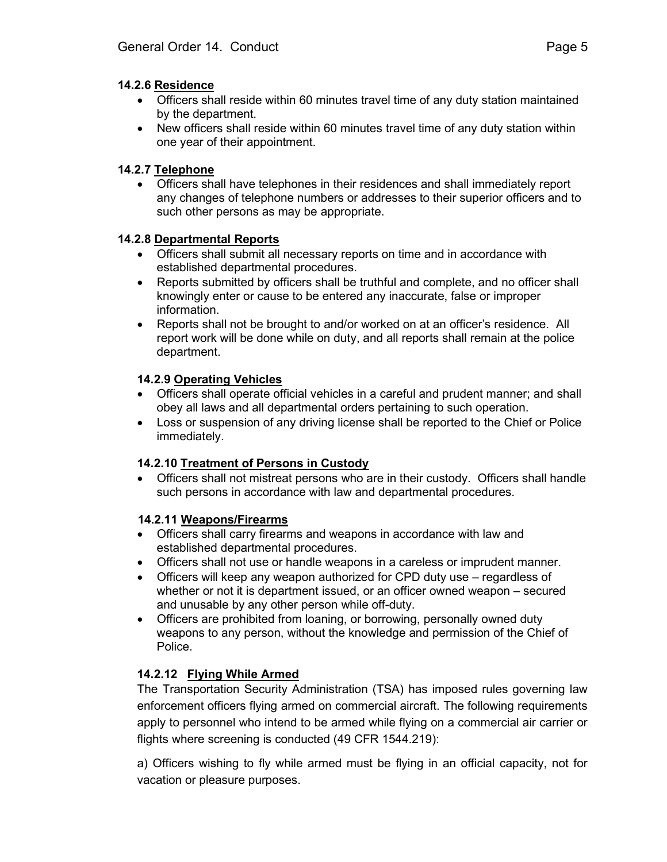## 14.2.6 Residence

- Officers shall reside within 60 minutes travel time of any duty station maintained by the department.
- New officers shall reside within 60 minutes travel time of any duty station within one year of their appointment.

## 14.2.7 Telephone

 Officers shall have telephones in their residences and shall immediately report any changes of telephone numbers or addresses to their superior officers and to such other persons as may be appropriate.

# 14.2.8 Departmental Reports

- Officers shall submit all necessary reports on time and in accordance with established departmental procedures.
- Reports submitted by officers shall be truthful and complete, and no officer shall knowingly enter or cause to be entered any inaccurate, false or improper information.
- Reports shall not be brought to and/or worked on at an officer's residence. All report work will be done while on duty, and all reports shall remain at the police department.

# 14.2.9 Operating Vehicles

- Officers shall operate official vehicles in a careful and prudent manner; and shall obey all laws and all departmental orders pertaining to such operation.
- Loss or suspension of any driving license shall be reported to the Chief or Police immediately.

# 14.2.10 Treatment of Persons in Custody

 Officers shall not mistreat persons who are in their custody. Officers shall handle such persons in accordance with law and departmental procedures.

## 14.2.11 Weapons/Firearms

- Officers shall carry firearms and weapons in accordance with law and established departmental procedures.
- Officers shall not use or handle weapons in a careless or imprudent manner.
- Officers will keep any weapon authorized for CPD duty use regardless of whether or not it is department issued, or an officer owned weapon – secured and unusable by any other person while off-duty.
- Officers are prohibited from loaning, or borrowing, personally owned duty weapons to any person, without the knowledge and permission of the Chief of Police.

# 14.2.12 Flying While Armed

The Transportation Security Administration (TSA) has imposed rules governing law enforcement officers flying armed on commercial aircraft. The following requirements apply to personnel who intend to be armed while flying on a commercial air carrier or flights where screening is conducted (49 CFR 1544.219):

a) Officers wishing to fly while armed must be flying in an official capacity, not for vacation or pleasure purposes.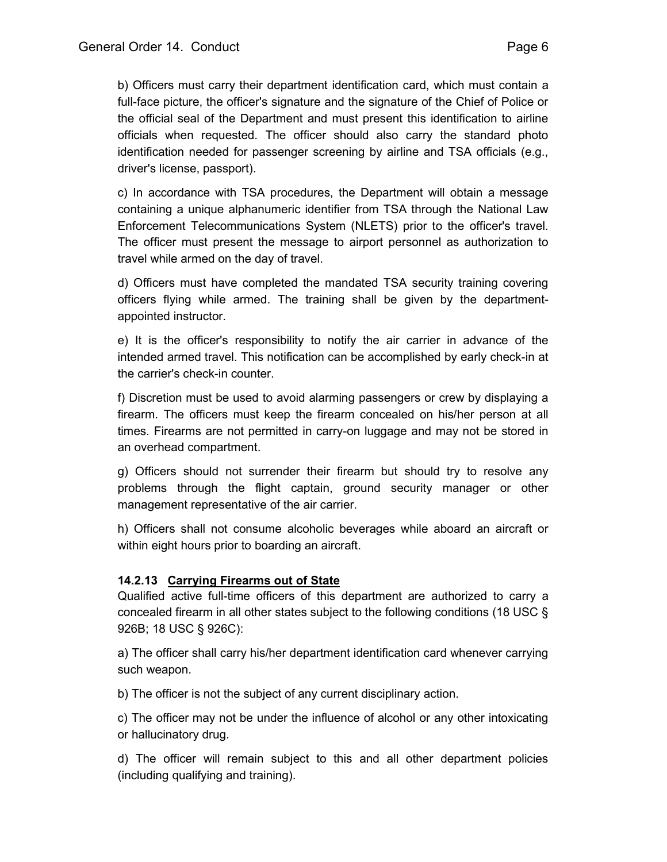b) Officers must carry their department identification card, which must contain a full-face picture, the officer's signature and the signature of the Chief of Police or the official seal of the Department and must present this identification to airline officials when requested. The officer should also carry the standard photo identification needed for passenger screening by airline and TSA officials (e.g., driver's license, passport).

c) In accordance with TSA procedures, the Department will obtain a message containing a unique alphanumeric identifier from TSA through the National Law Enforcement Telecommunications System (NLETS) prior to the officer's travel. The officer must present the message to airport personnel as authorization to travel while armed on the day of travel.

d) Officers must have completed the mandated TSA security training covering officers flying while armed. The training shall be given by the departmentappointed instructor.

e) It is the officer's responsibility to notify the air carrier in advance of the intended armed travel. This notification can be accomplished by early check-in at the carrier's check-in counter.

f) Discretion must be used to avoid alarming passengers or crew by displaying a firearm. The officers must keep the firearm concealed on his/her person at all times. Firearms are not permitted in carry-on luggage and may not be stored in an overhead compartment.

g) Officers should not surrender their firearm but should try to resolve any problems through the flight captain, ground security manager or other management representative of the air carrier.

h) Officers shall not consume alcoholic beverages while aboard an aircraft or within eight hours prior to boarding an aircraft.

#### 14.2.13 Carrying Firearms out of State

Qualified active full-time officers of this department are authorized to carry a concealed firearm in all other states subject to the following conditions (18 USC § 926B; 18 USC § 926C):

a) The officer shall carry his/her department identification card whenever carrying such weapon.

b) The officer is not the subject of any current disciplinary action.

c) The officer may not be under the influence of alcohol or any other intoxicating or hallucinatory drug.

d) The officer will remain subject to this and all other department policies (including qualifying and training).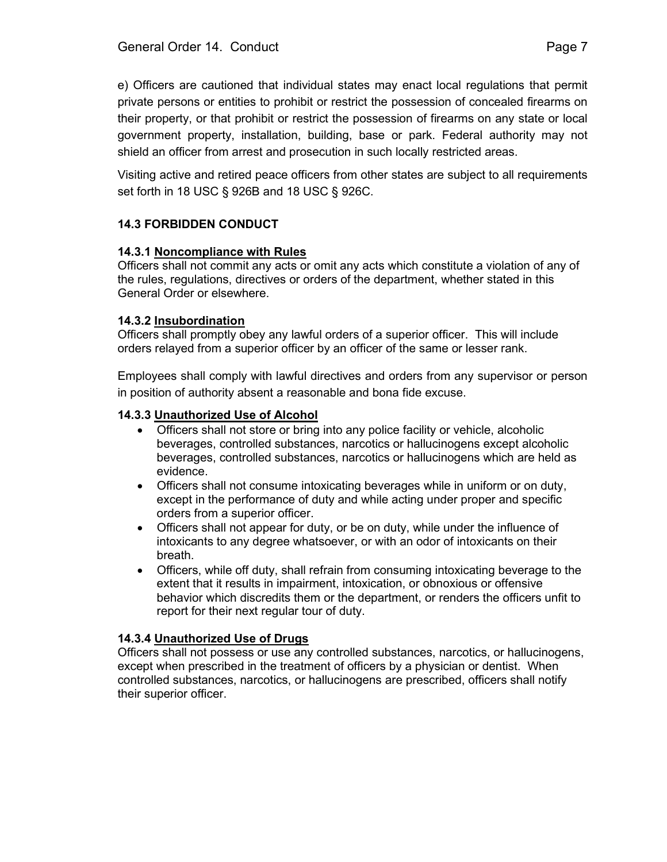e) Officers are cautioned that individual states may enact local regulations that permit private persons or entities to prohibit or restrict the possession of concealed firearms on their property, or that prohibit or restrict the possession of firearms on any state or local government property, installation, building, base or park. Federal authority may not shield an officer from arrest and prosecution in such locally restricted areas.

Visiting active and retired peace officers from other states are subject to all requirements set forth in 18 USC § 926B and 18 USC § 926C.

## 14.3 FORBIDDEN CONDUCT

#### 14.3.1 Noncompliance with Rules

Officers shall not commit any acts or omit any acts which constitute a violation of any of the rules, regulations, directives or orders of the department, whether stated in this General Order or elsewhere.

#### 14.3.2 Insubordination

Officers shall promptly obey any lawful orders of a superior officer. This will include orders relayed from a superior officer by an officer of the same or lesser rank.

Employees shall comply with lawful directives and orders from any supervisor or person in position of authority absent a reasonable and bona fide excuse.

#### 14.3.3 Unauthorized Use of Alcohol

- Officers shall not store or bring into any police facility or vehicle, alcoholic beverages, controlled substances, narcotics or hallucinogens except alcoholic beverages, controlled substances, narcotics or hallucinogens which are held as evidence.
- Officers shall not consume intoxicating beverages while in uniform or on duty, except in the performance of duty and while acting under proper and specific orders from a superior officer.
- Officers shall not appear for duty, or be on duty, while under the influence of intoxicants to any degree whatsoever, or with an odor of intoxicants on their breath.
- Officers, while off duty, shall refrain from consuming intoxicating beverage to the extent that it results in impairment, intoxication, or obnoxious or offensive behavior which discredits them or the department, or renders the officers unfit to report for their next regular tour of duty.

#### 14.3.4 Unauthorized Use of Drugs

Officers shall not possess or use any controlled substances, narcotics, or hallucinogens, except when prescribed in the treatment of officers by a physician or dentist. When controlled substances, narcotics, or hallucinogens are prescribed, officers shall notify their superior officer.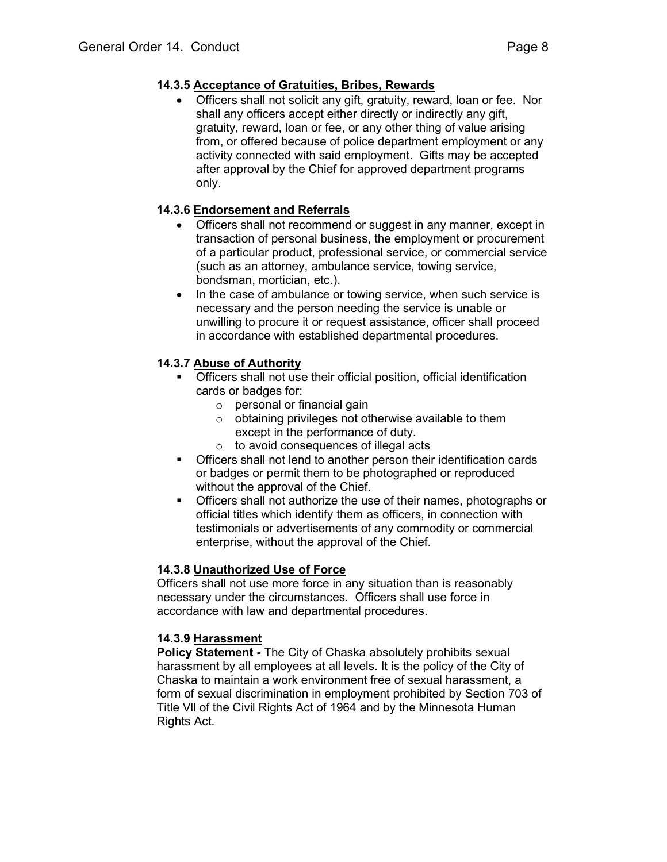# 14.3.5 Acceptance of Gratuities, Bribes, Rewards

 Officers shall not solicit any gift, gratuity, reward, loan or fee. Nor shall any officers accept either directly or indirectly any gift, gratuity, reward, loan or fee, or any other thing of value arising from, or offered because of police department employment or any activity connected with said employment. Gifts may be accepted after approval by the Chief for approved department programs only.

## 14.3.6 Endorsement and Referrals

- Officers shall not recommend or suggest in any manner, except in transaction of personal business, the employment or procurement of a particular product, professional service, or commercial service (such as an attorney, ambulance service, towing service, bondsman, mortician, etc.).
- In the case of ambulance or towing service, when such service is necessary and the person needing the service is unable or unwilling to procure it or request assistance, officer shall proceed in accordance with established departmental procedures.

# 14.3.7 Abuse of Authority

- **•** Officers shall not use their official position, official identification cards or badges for:
	- $\circ$  personal or financial gain
	- $\circ$  obtaining privileges not otherwise available to them except in the performance of duty.
	- $\circ$  to avoid consequences of illegal acts
- Officers shall not lend to another person their identification cards or badges or permit them to be photographed or reproduced without the approval of the Chief.
- Officers shall not authorize the use of their names, photographs or official titles which identify them as officers, in connection with testimonials or advertisements of any commodity or commercial enterprise, without the approval of the Chief.

# 14.3.8 Unauthorized Use of Force

Officers shall not use more force in any situation than is reasonably necessary under the circumstances. Officers shall use force in accordance with law and departmental procedures.

## 14.3.9 Harassment

Policy Statement - The City of Chaska absolutely prohibits sexual harassment by all employees at all levels. It is the policy of the City of Chaska to maintain a work environment free of sexual harassment, a form of sexual discrimination in employment prohibited by Section 703 of Title Vll of the Civil Rights Act of 1964 and by the Minnesota Human Rights Act.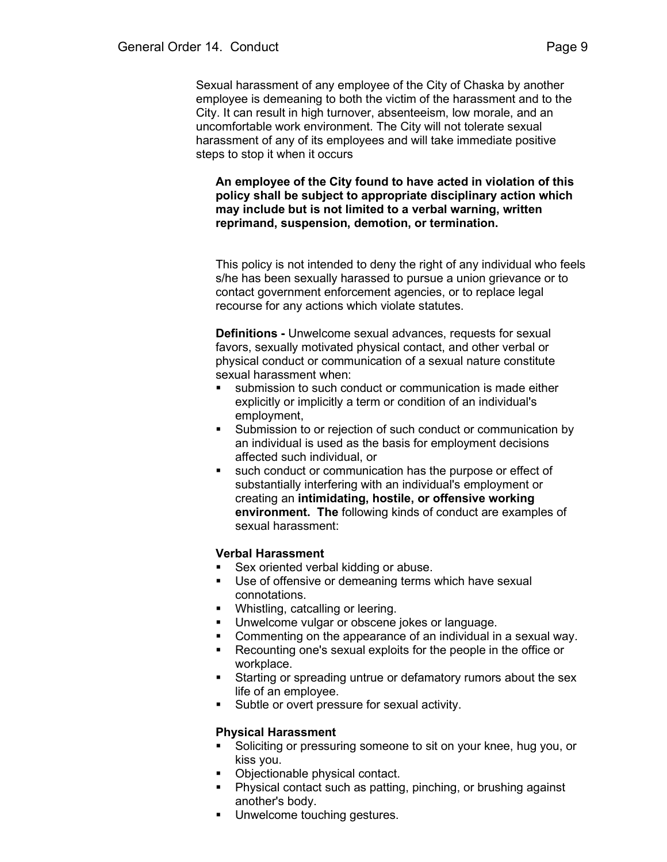Sexual harassment of any employee of the City of Chaska by another employee is demeaning to both the victim of the harassment and to the City. It can result in high turnover, absenteeism, low morale, and an uncomfortable work environment. The City will not tolerate sexual harassment of any of its employees and will take immediate positive steps to stop it when it occurs

An employee of the City found to have acted in violation of this policy shall be subject to appropriate disciplinary action which may include but is not limited to a verbal warning, written reprimand, suspension, demotion, or termination.

This policy is not intended to deny the right of any individual who feels s/he has been sexually harassed to pursue a union grievance or to contact government enforcement agencies, or to replace legal recourse for any actions which violate statutes.

Definitions - Unwelcome sexual advances, requests for sexual favors, sexually motivated physical contact, and other verbal or physical conduct or communication of a sexual nature constitute sexual harassment when:

- submission to such conduct or communication is made either explicitly or implicitly a term or condition of an individual's employment,
- **Submission to or rejection of such conduct or communication by** an individual is used as the basis for employment decisions affected such individual, or
- such conduct or communication has the purpose or effect of substantially interfering with an individual's employment or creating an intimidating, hostile, or offensive working environment. The following kinds of conduct are examples of sexual harassment:

#### Verbal Harassment

- Sex oriented verbal kidding or abuse.
- Use of offensive or demeaning terms which have sexual connotations.
- **•** Whistling, catcalling or leering.
- **Unwelcome vulgar or obscene jokes or language.**
- Commenting on the appearance of an individual in a sexual way.
- Recounting one's sexual exploits for the people in the office or workplace.
- **Starting or spreading untrue or defamatory rumors about the sex** life of an employee.
- **Subtle or overt pressure for sexual activity.**

#### Physical Harassment

- Soliciting or pressuring someone to sit on your knee, hug you, or kiss you.
- Objectionable physical contact.
- Physical contact such as patting, pinching, or brushing against another's body.
- **Unwelcome touching gestures.**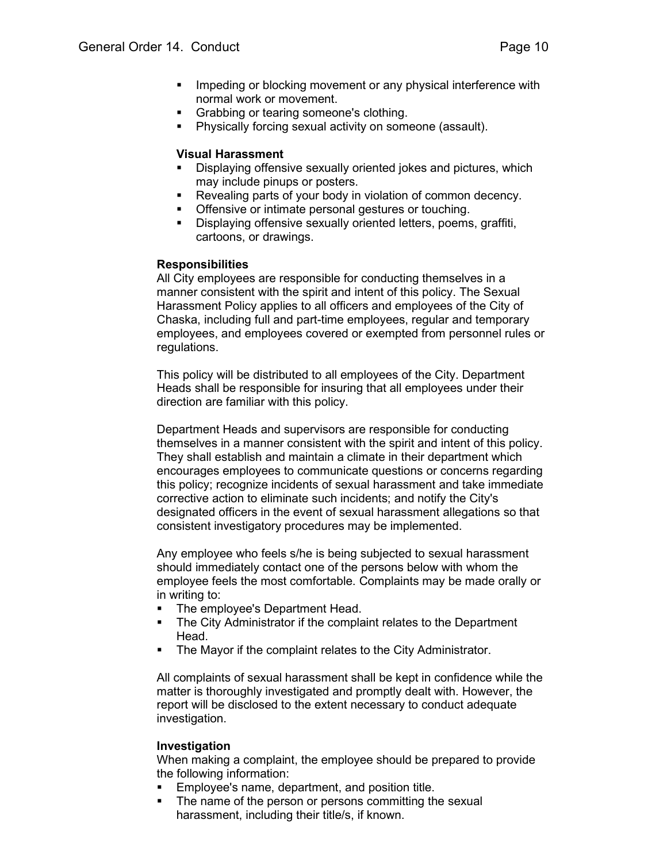- Grabbing or tearing someone's clothing.
- **Physically forcing sexual activity on someone (assault).**

#### Visual Harassment

- Displaying offensive sexually oriented jokes and pictures, which may include pinups or posters.
- Revealing parts of your body in violation of common decency.
- Offensive or intimate personal gestures or touching.
- Displaying offensive sexually oriented letters, poems, graffiti, cartoons, or drawings.

#### **Responsibilities**

All City employees are responsible for conducting themselves in a manner consistent with the spirit and intent of this policy. The Sexual Harassment Policy applies to all officers and employees of the City of Chaska, including full and part-time employees, regular and temporary employees, and employees covered or exempted from personnel rules or regulations.

This policy will be distributed to all employees of the City. Department Heads shall be responsible for insuring that all employees under their direction are familiar with this policy.

Department Heads and supervisors are responsible for conducting themselves in a manner consistent with the spirit and intent of this policy. They shall establish and maintain a climate in their department which encourages employees to communicate questions or concerns regarding this policy; recognize incidents of sexual harassment and take immediate corrective action to eliminate such incidents; and notify the City's designated officers in the event of sexual harassment allegations so that consistent investigatory procedures may be implemented.

Any employee who feels s/he is being subjected to sexual harassment should immediately contact one of the persons below with whom the employee feels the most comfortable. Complaints may be made orally or in writing to:

- **The employee's Department Head.**
- **The City Administrator if the complaint relates to the Department** Head.
- The Mayor if the complaint relates to the City Administrator.

All complaints of sexual harassment shall be kept in confidence while the matter is thoroughly investigated and promptly dealt with. However, the report will be disclosed to the extent necessary to conduct adequate investigation.

#### Investigation

When making a complaint, the employee should be prepared to provide the following information:

- Employee's name, department, and position title.
- The name of the person or persons committing the sexual harassment, including their title/s, if known.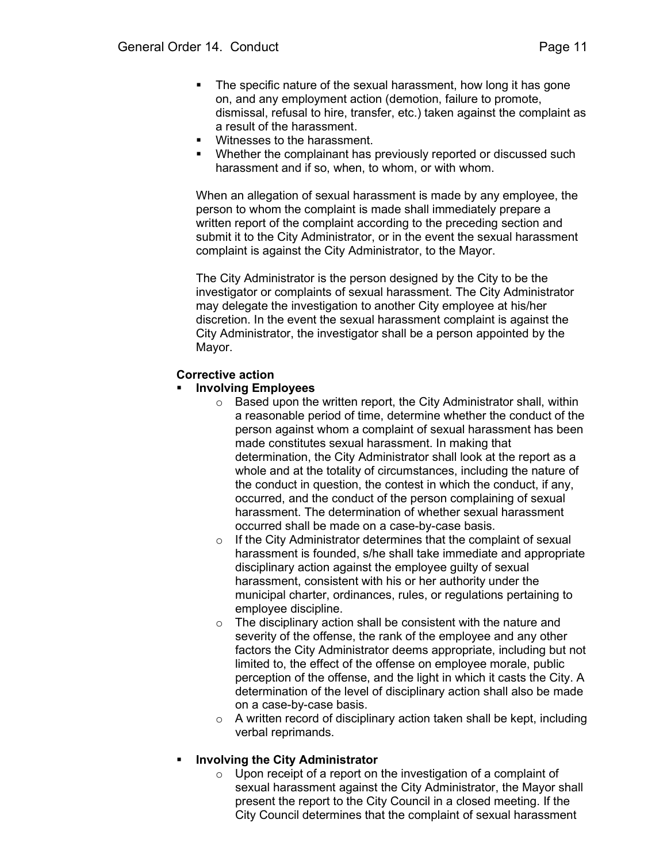- The specific nature of the sexual harassment, how long it has gone on, and any employment action (demotion, failure to promote, dismissal, refusal to hire, transfer, etc.) taken against the complaint as a result of the harassment.
- **Witnesses to the harassment.**
- **Whether the complainant has previously reported or discussed such** harassment and if so, when, to whom, or with whom.

When an allegation of sexual harassment is made by any employee, the person to whom the complaint is made shall immediately prepare a written report of the complaint according to the preceding section and submit it to the City Administrator, or in the event the sexual harassment complaint is against the City Administrator, to the Mayor.

The City Administrator is the person designed by the City to be the investigator or complaints of sexual harassment. The City Administrator may delegate the investigation to another City employee at his/her discretion. In the event the sexual harassment complaint is against the City Administrator, the investigator shall be a person appointed by the Mayor.

#### Corrective action

- Involving Employees
	- $\circ$  Based upon the written report, the City Administrator shall, within a reasonable period of time, determine whether the conduct of the person against whom a complaint of sexual harassment has been made constitutes sexual harassment. In making that determination, the City Administrator shall look at the report as a whole and at the totality of circumstances, including the nature of the conduct in question, the contest in which the conduct, if any, occurred, and the conduct of the person complaining of sexual harassment. The determination of whether sexual harassment occurred shall be made on a case-by-case basis.
	- $\circ$  If the City Administrator determines that the complaint of sexual harassment is founded, s/he shall take immediate and appropriate disciplinary action against the employee guilty of sexual harassment, consistent with his or her authority under the municipal charter, ordinances, rules, or regulations pertaining to employee discipline.
	- $\circ$  The disciplinary action shall be consistent with the nature and severity of the offense, the rank of the employee and any other factors the City Administrator deems appropriate, including but not limited to, the effect of the offense on employee morale, public perception of the offense, and the light in which it casts the City. A determination of the level of disciplinary action shall also be made on a case-by-case basis.
	- $\circ$  A written record of disciplinary action taken shall be kept, including verbal reprimands.

#### Involving the City Administrator

 $\circ$  Upon receipt of a report on the investigation of a complaint of sexual harassment against the City Administrator, the Mayor shall present the report to the City Council in a closed meeting. If the City Council determines that the complaint of sexual harassment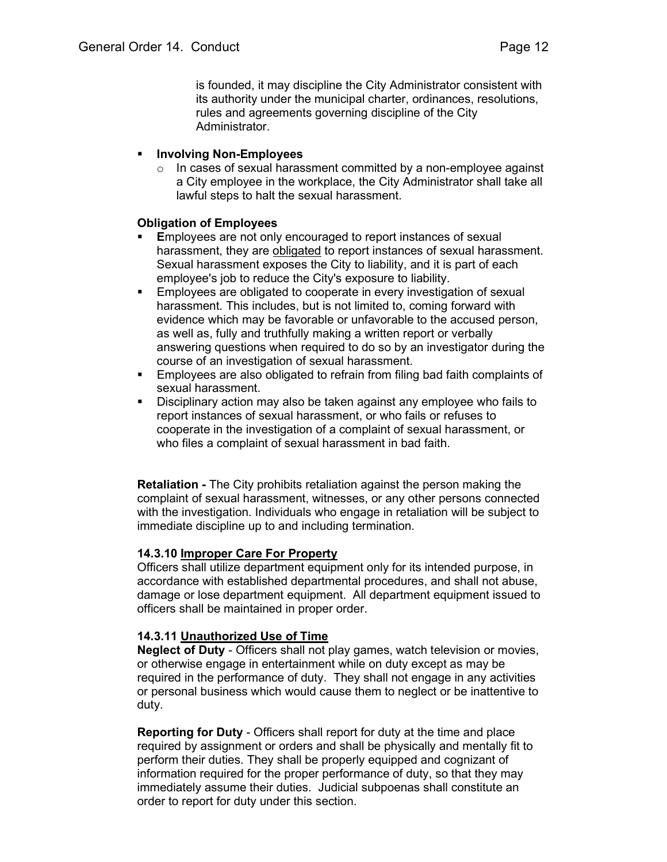is founded, it may discipline the City Administrator consistent with its authority under the municipal charter, ordinances, resolutions, rules and agreements governing discipline of the City Administrator.

### **EXECUTE:** Involving Non-Employees

In cases of sexual harassment committed by a non-employee against a City employee in the workplace, the City Administrator shall take all lawful steps to halt the sexual harassment.

#### Obligation of Employees

- **Employees are not only encouraged to report instances of sexual** harassment, they are obligated to report instances of sexual harassment. Sexual harassment exposes the City to liability, and it is part of each employee's job to reduce the City's exposure to liability.
- **Employees are obligated to cooperate in every investigation of sexual** harassment. This includes, but is not limited to, coming forward with evidence which may be favorable or unfavorable to the accused person, as well as, fully and truthfully making a written report or verbally answering questions when required to do so by an investigator during the course of an investigation of sexual harassment.
- **Employees are also obligated to refrain from filing bad faith complaints of** sexual harassment.
- Disciplinary action may also be taken against any employee who fails to report instances of sexual harassment, or who fails or refuses to cooperate in the investigation of a complaint of sexual harassment, or who files a complaint of sexual harassment in bad faith.

Retaliation - The City prohibits retaliation against the person making the complaint of sexual harassment, witnesses, or any other persons connected with the investigation. Individuals who engage in retaliation will be subject to immediate discipline up to and including termination.

#### 14.3.10 Improper Care For Property

Officers shall utilize department equipment only for its intended purpose, in accordance with established departmental procedures, and shall not abuse, damage or lose department equipment. All department equipment issued to officers shall be maintained in proper order.

#### 14.3.11 Unauthorized Use of Time

Neglect of Duty - Officers shall not play games, watch television or movies, or otherwise engage in entertainment while on duty except as may be required in the performance of duty. They shall not engage in any activities or personal business which would cause them to neglect or be inattentive to duty.

Reporting for Duty - Officers shall report for duty at the time and place required by assignment or orders and shall be physically and mentally fit to perform their duties. They shall be properly equipped and cognizant of information required for the proper performance of duty, so that they may immediately assume their duties. Judicial subpoenas shall constitute an order to report for duty under this section.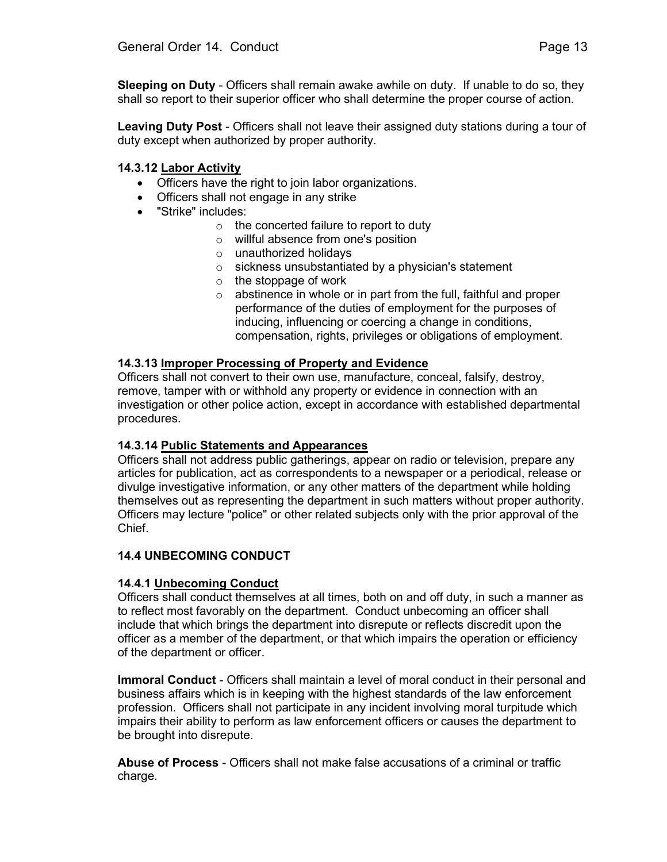Sleeping on Duty - Officers shall remain awake awhile on duty. If unable to do so, they shall so report to their superior officer who shall determine the proper course of action.

Leaving Duty Post - Officers shall not leave their assigned duty stations during a tour of duty except when authorized by proper authority.

## 14.3.12 Labor Activity

- Officers have the right to join labor organizations.
- Officers shall not engage in any strike
- "Strike" includes:
	- $\circ$  the concerted failure to report to duty
	- o willful absence from one's position
	- o unauthorized holidays
	- $\circ$  sickness unsubstantiated by a physician's statement
	- $\circ$  the stoppage of work
	- $\circ$  abstinence in whole or in part from the full, faithful and proper performance of the duties of employment for the purposes of inducing, influencing or coercing a change in conditions, compensation, rights, privileges or obligations of employment.

## 14.3.13 Improper Processing of Property and Evidence

Officers shall not convert to their own use, manufacture, conceal, falsify, destroy, remove, tamper with or withhold any property or evidence in connection with an investigation or other police action, except in accordance with established departmental procedures.

#### 14.3.14 Public Statements and Appearances

Officers shall not address public gatherings, appear on radio or television, prepare any articles for publication, act as correspondents to a newspaper or a periodical, release or divulge investigative information, or any other matters of the department while holding themselves out as representing the department in such matters without proper authority. Officers may lecture "police" or other related subjects only with the prior approval of the Chief.

#### 14.4 UNBECOMING CONDUCT

#### 14.4.1 Unbecoming Conduct

Officers shall conduct themselves at all times, both on and off duty, in such a manner as to reflect most favorably on the department. Conduct unbecoming an officer shall include that which brings the department into disrepute or reflects discredit upon the officer as a member of the department, or that which impairs the operation or efficiency of the department or officer.

Immoral Conduct - Officers shall maintain a level of moral conduct in their personal and business affairs which is in keeping with the highest standards of the law enforcement profession. Officers shall not participate in any incident involving moral turpitude which impairs their ability to perform as law enforcement officers or causes the department to be brought into disrepute.

Abuse of Process - Officers shall not make false accusations of a criminal or traffic charge.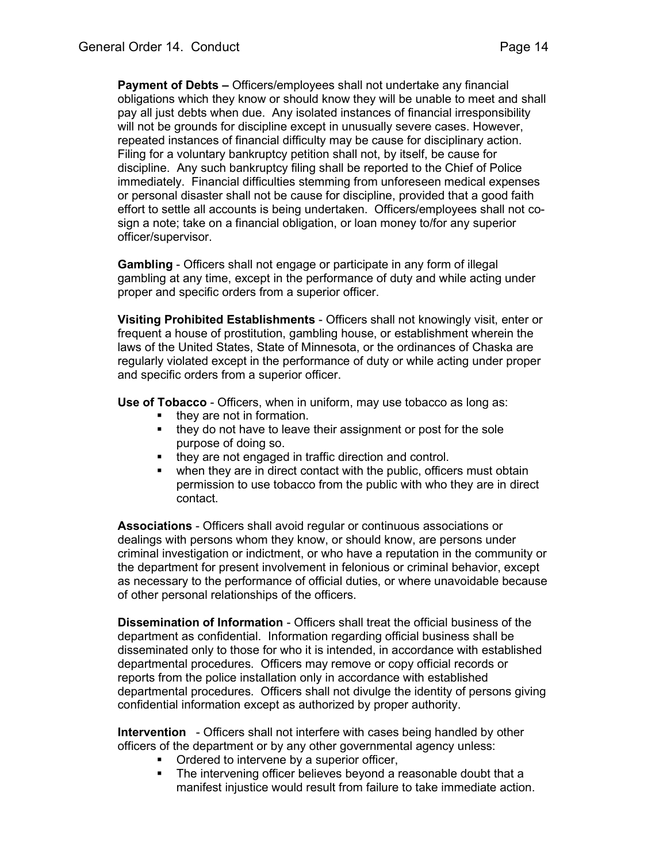Payment of Debts – Officers/employees shall not undertake any financial obligations which they know or should know they will be unable to meet and shall pay all just debts when due. Any isolated instances of financial irresponsibility will not be grounds for discipline except in unusually severe cases. However, repeated instances of financial difficulty may be cause for disciplinary action. Filing for a voluntary bankruptcy petition shall not, by itself, be cause for discipline. Any such bankruptcy filing shall be reported to the Chief of Police immediately. Financial difficulties stemming from unforeseen medical expenses or personal disaster shall not be cause for discipline, provided that a good faith effort to settle all accounts is being undertaken. Officers/employees shall not cosign a note; take on a financial obligation, or loan money to/for any superior officer/supervisor.

Gambling - Officers shall not engage or participate in any form of illegal gambling at any time, except in the performance of duty and while acting under proper and specific orders from a superior officer.

Visiting Prohibited Establishments - Officers shall not knowingly visit, enter or frequent a house of prostitution, gambling house, or establishment wherein the laws of the United States, State of Minnesota, or the ordinances of Chaska are regularly violated except in the performance of duty or while acting under proper and specific orders from a superior officer.

Use of Tobacco - Officers, when in uniform, may use tobacco as long as:

- they are not in formation.
- they do not have to leave their assignment or post for the sole purpose of doing so.
- they are not engaged in traffic direction and control.
- when they are in direct contact with the public, officers must obtain permission to use tobacco from the public with who they are in direct contact.

Associations - Officers shall avoid regular or continuous associations or dealings with persons whom they know, or should know, are persons under criminal investigation or indictment, or who have a reputation in the community or the department for present involvement in felonious or criminal behavior, except as necessary to the performance of official duties, or where unavoidable because of other personal relationships of the officers.

Dissemination of Information - Officers shall treat the official business of the department as confidential. Information regarding official business shall be disseminated only to those for who it is intended, in accordance with established departmental procedures. Officers may remove or copy official records or reports from the police installation only in accordance with established departmental procedures. Officers shall not divulge the identity of persons giving confidential information except as authorized by proper authority.

Intervention - Officers shall not interfere with cases being handled by other officers of the department or by any other governmental agency unless:

- Ordered to intervene by a superior officer,
- The intervening officer believes beyond a reasonable doubt that a manifest injustice would result from failure to take immediate action.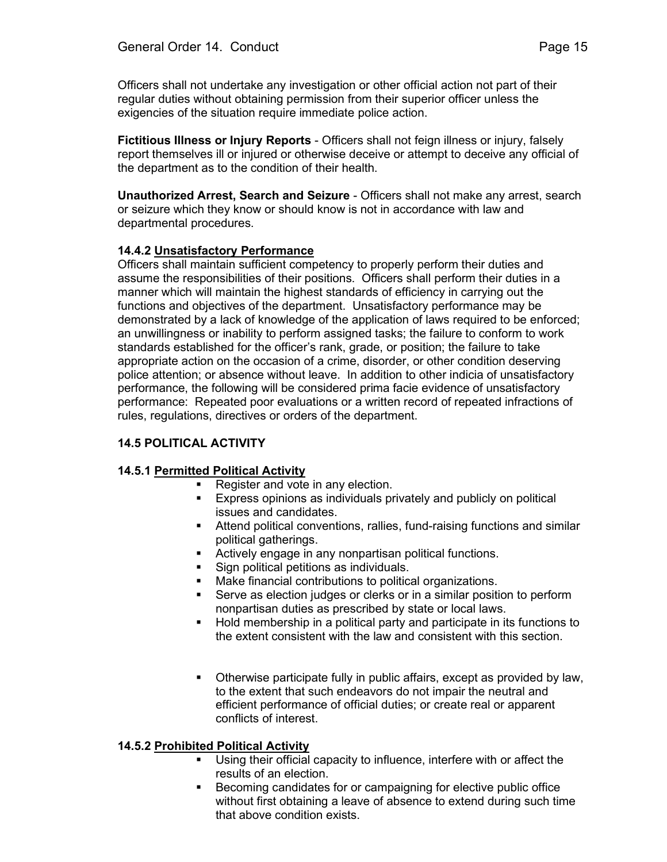Officers shall not undertake any investigation or other official action not part of their regular duties without obtaining permission from their superior officer unless the exigencies of the situation require immediate police action.

Fictitious Illness or Injury Reports - Officers shall not feign illness or injury. falsely report themselves ill or injured or otherwise deceive or attempt to deceive any official of the department as to the condition of their health.

Unauthorized Arrest, Search and Seizure - Officers shall not make any arrest, search or seizure which they know or should know is not in accordance with law and departmental procedures.

## 14.4.2 Unsatisfactory Performance

Officers shall maintain sufficient competency to properly perform their duties and assume the responsibilities of their positions. Officers shall perform their duties in a manner which will maintain the highest standards of efficiency in carrying out the functions and objectives of the department. Unsatisfactory performance may be demonstrated by a lack of knowledge of the application of laws required to be enforced; an unwillingness or inability to perform assigned tasks; the failure to conform to work standards established for the officer's rank, grade, or position; the failure to take appropriate action on the occasion of a crime, disorder, or other condition deserving police attention; or absence without leave. In addition to other indicia of unsatisfactory performance, the following will be considered prima facie evidence of unsatisfactory performance: Repeated poor evaluations or a written record of repeated infractions of rules, regulations, directives or orders of the department.

## 14.5 POLITICAL ACTIVITY

## 14.5.1 Permitted Political Activity

- Register and vote in any election.
- **Express opinions as individuals privately and publicly on political** issues and candidates.
- Attend political conventions, rallies, fund-raising functions and similar political gatherings.
- Actively engage in any nonpartisan political functions.
- **Sign political petitions as individuals.**
- Make financial contributions to political organizations.
- Serve as election judges or clerks or in a similar position to perform nonpartisan duties as prescribed by state or local laws.
- Hold membership in a political party and participate in its functions to the extent consistent with the law and consistent with this section.
- Otherwise participate fully in public affairs, except as provided by law, to the extent that such endeavors do not impair the neutral and efficient performance of official duties; or create real or apparent conflicts of interest.

## 14.5.2 Prohibited Political Activity

- **Using their official capacity to influence, interfere with or affect the** results of an election.
- **Becoming candidates for or campaigning for elective public office** without first obtaining a leave of absence to extend during such time that above condition exists.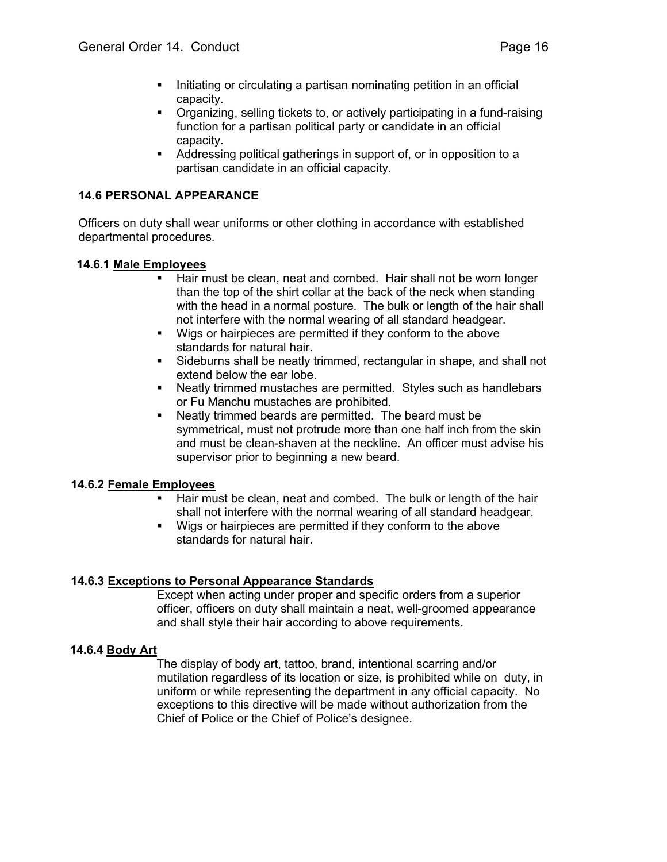- Initiating or circulating a partisan nominating petition in an official capacity.
- Organizing, selling tickets to, or actively participating in a fund-raising function for a partisan political party or candidate in an official capacity.
- Addressing political gatherings in support of, or in opposition to a partisan candidate in an official capacity.

## 14.6 PERSONAL APPEARANCE

Officers on duty shall wear uniforms or other clothing in accordance with established departmental procedures.

#### 14.6.1 Male Employees

- **Hair must be clean, neat and combed. Hair shall not be worn longer** than the top of the shirt collar at the back of the neck when standing with the head in a normal posture. The bulk or length of the hair shall not interfere with the normal wearing of all standard headgear.
- **Wigs or hairpieces are permitted if they conform to the above** standards for natural hair.
- Sideburns shall be neatly trimmed, rectangular in shape, and shall not extend below the ear lobe.
- Neatly trimmed mustaches are permitted. Styles such as handlebars or Fu Manchu mustaches are prohibited.
- Neatly trimmed beards are permitted. The beard must be symmetrical, must not protrude more than one half inch from the skin and must be clean-shaven at the neckline. An officer must advise his supervisor prior to beginning a new beard.

## 14.6.2 Female Employees

- Hair must be clean, neat and combed. The bulk or length of the hair shall not interfere with the normal wearing of all standard headgear.
- Wigs or hairpieces are permitted if they conform to the above standards for natural hair.

## 14.6.3 Exceptions to Personal Appearance Standards

 Except when acting under proper and specific orders from a superior officer, officers on duty shall maintain a neat, well-groomed appearance and shall style their hair according to above requirements.

## 14.6.4 Body Art

 The display of body art, tattoo, brand, intentional scarring and/or mutilation regardless of its location or size, is prohibited while on duty, in uniform or while representing the department in any official capacity. No exceptions to this directive will be made without authorization from the Chief of Police or the Chief of Police's designee.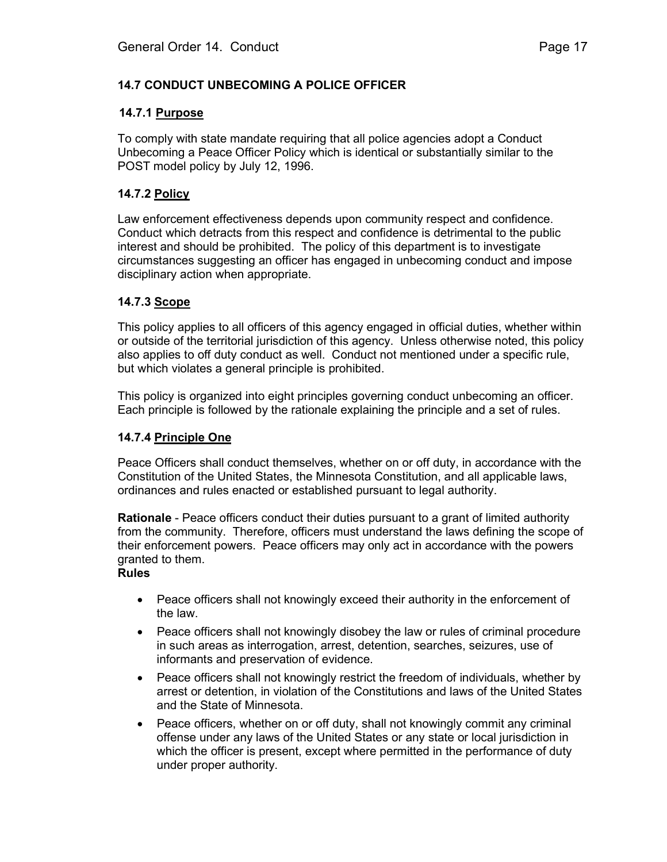## 14.7 CONDUCT UNBECOMING A POLICE OFFICER

#### 14.7.1 Purpose

To comply with state mandate requiring that all police agencies adopt a Conduct Unbecoming a Peace Officer Policy which is identical or substantially similar to the POST model policy by July 12, 1996.

#### 14.7.2 Policy

Law enforcement effectiveness depends upon community respect and confidence. Conduct which detracts from this respect and confidence is detrimental to the public interest and should be prohibited. The policy of this department is to investigate circumstances suggesting an officer has engaged in unbecoming conduct and impose disciplinary action when appropriate.

#### 14.7.3 Scope

This policy applies to all officers of this agency engaged in official duties, whether within or outside of the territorial jurisdiction of this agency. Unless otherwise noted, this policy also applies to off duty conduct as well. Conduct not mentioned under a specific rule, but which violates a general principle is prohibited.

This policy is organized into eight principles governing conduct unbecoming an officer. Each principle is followed by the rationale explaining the principle and a set of rules.

#### 14.7.4 Principle One

Peace Officers shall conduct themselves, whether on or off duty, in accordance with the Constitution of the United States, the Minnesota Constitution, and all applicable laws, ordinances and rules enacted or established pursuant to legal authority.

Rationale - Peace officers conduct their duties pursuant to a grant of limited authority from the community. Therefore, officers must understand the laws defining the scope of their enforcement powers. Peace officers may only act in accordance with the powers granted to them.

#### Rules

- Peace officers shall not knowingly exceed their authority in the enforcement of the law.
- Peace officers shall not knowingly disobey the law or rules of criminal procedure in such areas as interrogation, arrest, detention, searches, seizures, use of informants and preservation of evidence.
- Peace officers shall not knowingly restrict the freedom of individuals, whether by arrest or detention, in violation of the Constitutions and laws of the United States and the State of Minnesota.
- Peace officers, whether on or off duty, shall not knowingly commit any criminal offense under any laws of the United States or any state or local jurisdiction in which the officer is present, except where permitted in the performance of duty under proper authority.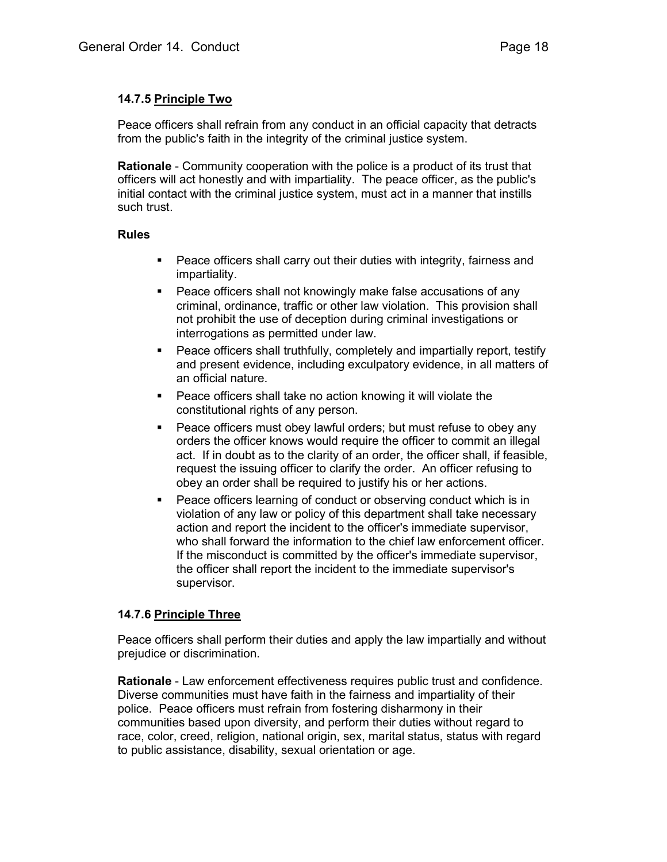## 14.7.5 Principle Two

Peace officers shall refrain from any conduct in an official capacity that detracts from the public's faith in the integrity of the criminal justice system.

Rationale - Community cooperation with the police is a product of its trust that officers will act honestly and with impartiality. The peace officer, as the public's initial contact with the criminal justice system, must act in a manner that instills such trust.

## Rules

- **Peace officers shall carry out their duties with integrity, fairness and** impartiality.
- Peace officers shall not knowingly make false accusations of any criminal, ordinance, traffic or other law violation. This provision shall not prohibit the use of deception during criminal investigations or interrogations as permitted under law.
- **Peace officers shall truthfully, completely and impartially report, testify** and present evidence, including exculpatory evidence, in all matters of an official nature.
- **Peace officers shall take no action knowing it will violate the** constitutional rights of any person.
- Peace officers must obey lawful orders; but must refuse to obey any orders the officer knows would require the officer to commit an illegal act. If in doubt as to the clarity of an order, the officer shall, if feasible, request the issuing officer to clarify the order. An officer refusing to obey an order shall be required to justify his or her actions.
- **Peace officers learning of conduct or observing conduct which is in** violation of any law or policy of this department shall take necessary action and report the incident to the officer's immediate supervisor, who shall forward the information to the chief law enforcement officer. If the misconduct is committed by the officer's immediate supervisor, the officer shall report the incident to the immediate supervisor's supervisor.

## 14.7.6 Principle Three

Peace officers shall perform their duties and apply the law impartially and without prejudice or discrimination.

Rationale - Law enforcement effectiveness requires public trust and confidence. Diverse communities must have faith in the fairness and impartiality of their police. Peace officers must refrain from fostering disharmony in their communities based upon diversity, and perform their duties without regard to race, color, creed, religion, national origin, sex, marital status, status with regard to public assistance, disability, sexual orientation or age.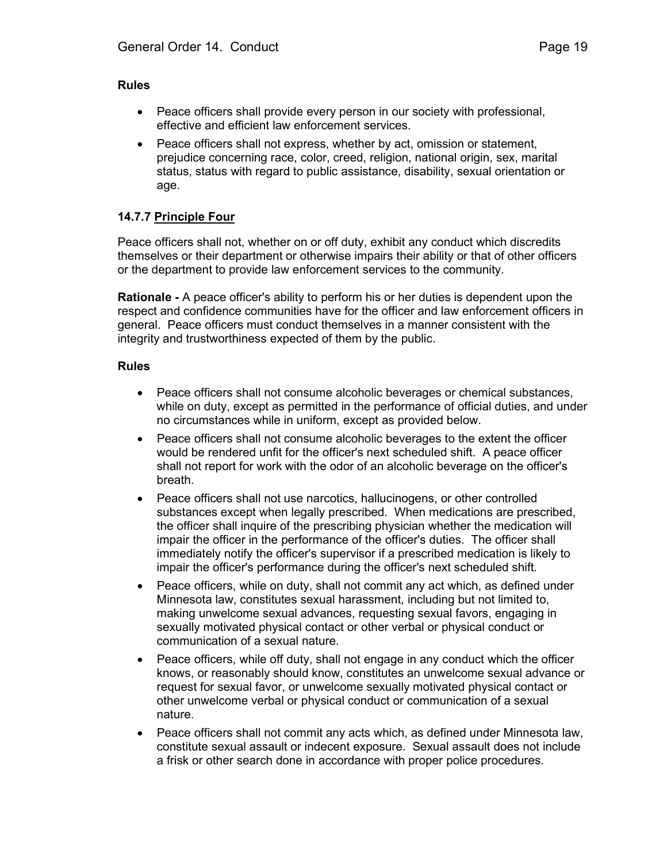#### Rules

- Peace officers shall provide every person in our society with professional, effective and efficient law enforcement services.
- Peace officers shall not express, whether by act, omission or statement, prejudice concerning race, color, creed, religion, national origin, sex, marital status, status with regard to public assistance, disability, sexual orientation or age.

## 14.7.7 Principle Four

Peace officers shall not, whether on or off duty, exhibit any conduct which discredits themselves or their department or otherwise impairs their ability or that of other officers or the department to provide law enforcement services to the community.

Rationale - A peace officer's ability to perform his or her duties is dependent upon the respect and confidence communities have for the officer and law enforcement officers in general. Peace officers must conduct themselves in a manner consistent with the integrity and trustworthiness expected of them by the public.

#### Rules

- Peace officers shall not consume alcoholic beverages or chemical substances, while on duty, except as permitted in the performance of official duties, and under no circumstances while in uniform, except as provided below.
- Peace officers shall not consume alcoholic beverages to the extent the officer would be rendered unfit for the officer's next scheduled shift. A peace officer shall not report for work with the odor of an alcoholic beverage on the officer's breath.
- Peace officers shall not use narcotics, hallucinogens, or other controlled substances except when legally prescribed. When medications are prescribed, the officer shall inquire of the prescribing physician whether the medication will impair the officer in the performance of the officer's duties. The officer shall immediately notify the officer's supervisor if a prescribed medication is likely to impair the officer's performance during the officer's next scheduled shift.
- Peace officers, while on duty, shall not commit any act which, as defined under Minnesota law, constitutes sexual harassment, including but not limited to, making unwelcome sexual advances, requesting sexual favors, engaging in sexually motivated physical contact or other verbal or physical conduct or communication of a sexual nature.
- Peace officers, while off duty, shall not engage in any conduct which the officer knows, or reasonably should know, constitutes an unwelcome sexual advance or request for sexual favor, or unwelcome sexually motivated physical contact or other unwelcome verbal or physical conduct or communication of a sexual nature.
- Peace officers shall not commit any acts which, as defined under Minnesota law, constitute sexual assault or indecent exposure. Sexual assault does not include a frisk or other search done in accordance with proper police procedures.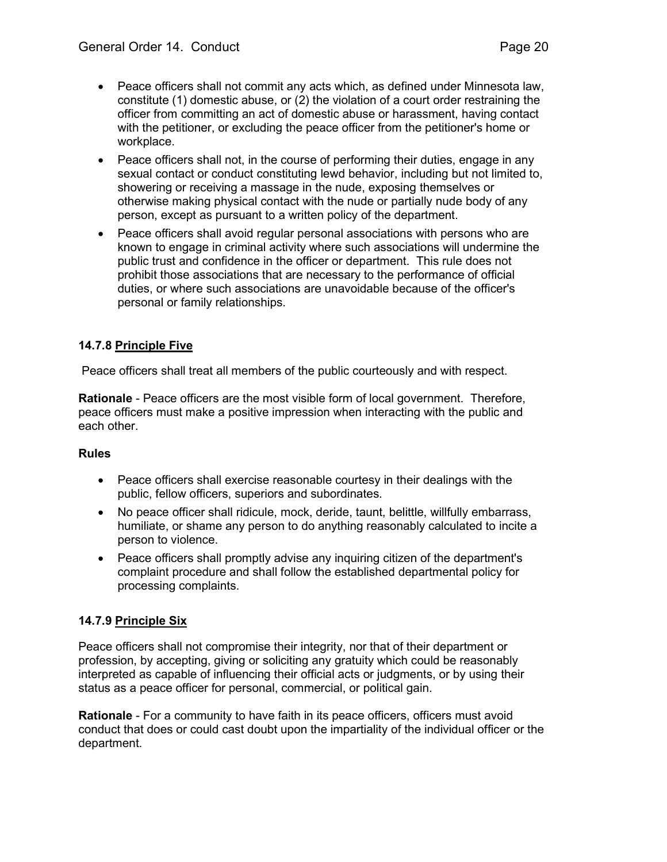- Peace officers shall not commit any acts which, as defined under Minnesota law, constitute (1) domestic abuse, or (2) the violation of a court order restraining the officer from committing an act of domestic abuse or harassment, having contact with the petitioner, or excluding the peace officer from the petitioner's home or workplace.
- Peace officers shall not, in the course of performing their duties, engage in any sexual contact or conduct constituting lewd behavior, including but not limited to, showering or receiving a massage in the nude, exposing themselves or otherwise making physical contact with the nude or partially nude body of any person, except as pursuant to a written policy of the department.
- Peace officers shall avoid regular personal associations with persons who are known to engage in criminal activity where such associations will undermine the public trust and confidence in the officer or department. This rule does not prohibit those associations that are necessary to the performance of official duties, or where such associations are unavoidable because of the officer's personal or family relationships.

# 14.7.8 Principle Five

Peace officers shall treat all members of the public courteously and with respect.

Rationale - Peace officers are the most visible form of local government. Therefore, peace officers must make a positive impression when interacting with the public and each other.

## Rules

- Peace officers shall exercise reasonable courtesy in their dealings with the public, fellow officers, superiors and subordinates.
- No peace officer shall ridicule, mock, deride, taunt, belittle, willfully embarrass, humiliate, or shame any person to do anything reasonably calculated to incite a person to violence.
- Peace officers shall promptly advise any inquiring citizen of the department's complaint procedure and shall follow the established departmental policy for processing complaints.

## 14.7.9 Principle Six

Peace officers shall not compromise their integrity, nor that of their department or profession, by accepting, giving or soliciting any gratuity which could be reasonably interpreted as capable of influencing their official acts or judgments, or by using their status as a peace officer for personal, commercial, or political gain.

Rationale - For a community to have faith in its peace officers, officers must avoid conduct that does or could cast doubt upon the impartiality of the individual officer or the department.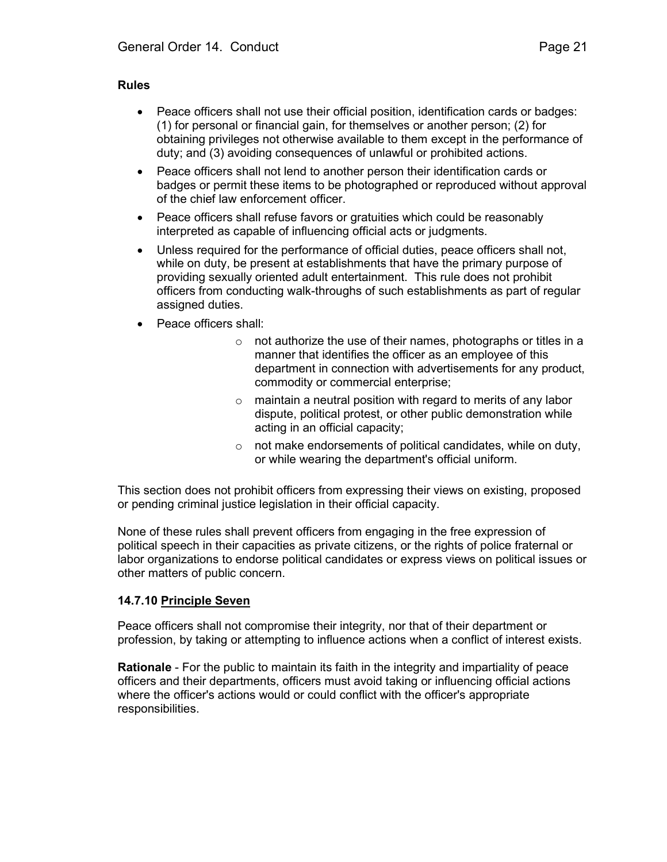### Rules

- Peace officers shall not use their official position, identification cards or badges: (1) for personal or financial gain, for themselves or another person; (2) for obtaining privileges not otherwise available to them except in the performance of duty; and (3) avoiding consequences of unlawful or prohibited actions.
- Peace officers shall not lend to another person their identification cards or badges or permit these items to be photographed or reproduced without approval of the chief law enforcement officer.
- Peace officers shall refuse favors or gratuities which could be reasonably interpreted as capable of influencing official acts or judgments.
- Unless required for the performance of official duties, peace officers shall not, while on duty, be present at establishments that have the primary purpose of providing sexually oriented adult entertainment. This rule does not prohibit officers from conducting walk-throughs of such establishments as part of regular assigned duties.
- Peace officers shall:
	- $\circ$  not authorize the use of their names, photographs or titles in a manner that identifies the officer as an employee of this department in connection with advertisements for any product, commodity or commercial enterprise;
	- $\circ$  maintain a neutral position with regard to merits of any labor dispute, political protest, or other public demonstration while acting in an official capacity;
	- o not make endorsements of political candidates, while on duty, or while wearing the department's official uniform.

This section does not prohibit officers from expressing their views on existing, proposed or pending criminal justice legislation in their official capacity.

None of these rules shall prevent officers from engaging in the free expression of political speech in their capacities as private citizens, or the rights of police fraternal or labor organizations to endorse political candidates or express views on political issues or other matters of public concern.

## 14.7.10 Principle Seven

Peace officers shall not compromise their integrity, nor that of their department or profession, by taking or attempting to influence actions when a conflict of interest exists.

**Rationale** - For the public to maintain its faith in the integrity and impartiality of peace officers and their departments, officers must avoid taking or influencing official actions where the officer's actions would or could conflict with the officer's appropriate responsibilities.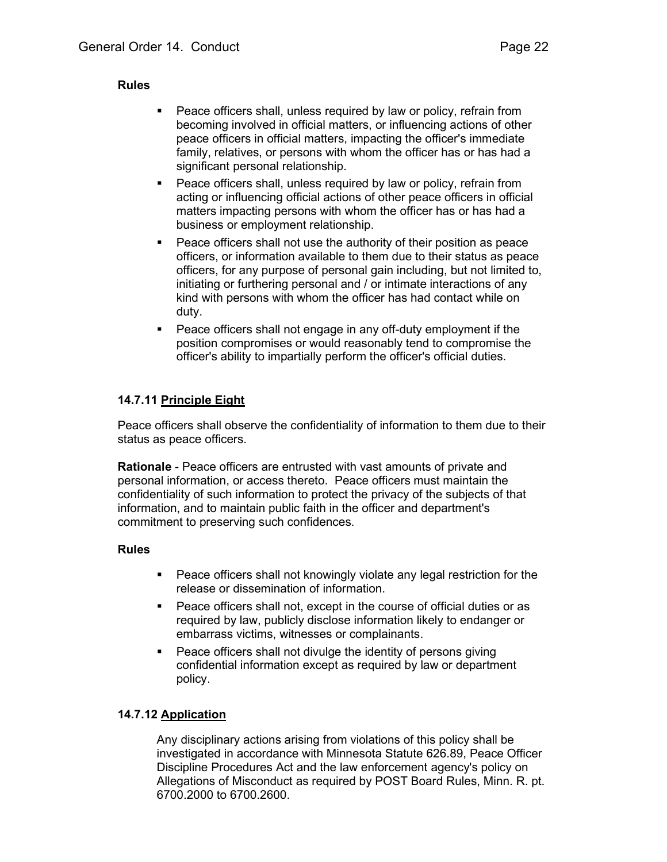## Rules

- **Peace officers shall, unless required by law or policy, refrain from** becoming involved in official matters, or influencing actions of other peace officers in official matters, impacting the officer's immediate family, relatives, or persons with whom the officer has or has had a significant personal relationship.
- **Peace officers shall, unless required by law or policy, refrain from** acting or influencing official actions of other peace officers in official matters impacting persons with whom the officer has or has had a business or employment relationship.
- Peace officers shall not use the authority of their position as peace officers, or information available to them due to their status as peace officers, for any purpose of personal gain including, but not limited to, initiating or furthering personal and / or intimate interactions of any kind with persons with whom the officer has had contact while on duty.
- **Peace officers shall not engage in any off-duty employment if the** position compromises or would reasonably tend to compromise the officer's ability to impartially perform the officer's official duties.

# 14.7.11 Principle Eight

Peace officers shall observe the confidentiality of information to them due to their status as peace officers.

Rationale - Peace officers are entrusted with vast amounts of private and personal information, or access thereto. Peace officers must maintain the confidentiality of such information to protect the privacy of the subjects of that information, and to maintain public faith in the officer and department's commitment to preserving such confidences.

## Rules

- Peace officers shall not knowingly violate any legal restriction for the release or dissemination of information.
- Peace officers shall not, except in the course of official duties or as required by law, publicly disclose information likely to endanger or embarrass victims, witnesses or complainants.
- **Peace officers shall not divulge the identity of persons giving** confidential information except as required by law or department policy.

## 14.7.12 Application

Any disciplinary actions arising from violations of this policy shall be investigated in accordance with Minnesota Statute 626.89, Peace Officer Discipline Procedures Act and the law enforcement agency's policy on Allegations of Misconduct as required by POST Board Rules, Minn. R. pt. 6700.2000 to 6700.2600.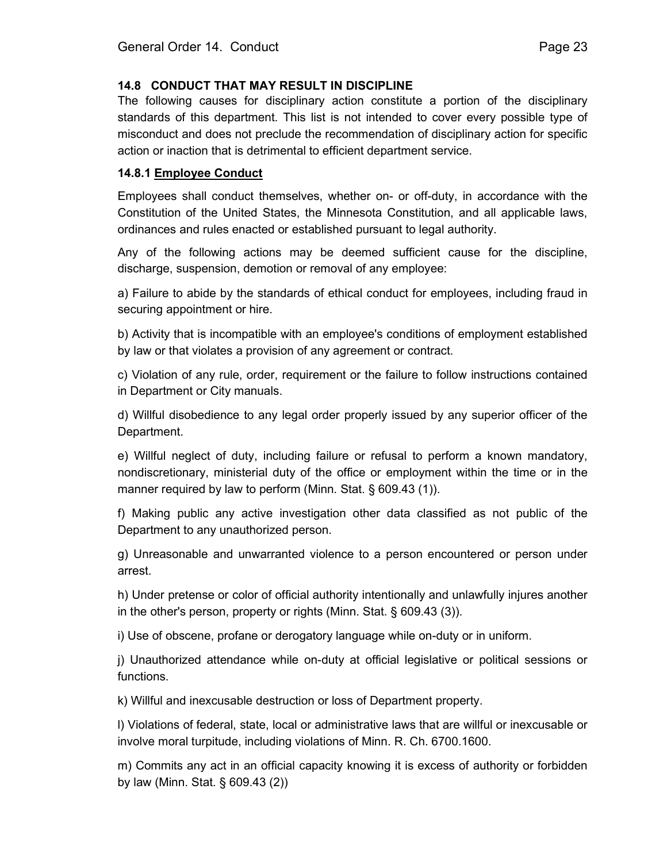## 14.8 CONDUCT THAT MAY RESULT IN DISCIPLINE

The following causes for disciplinary action constitute a portion of the disciplinary standards of this department. This list is not intended to cover every possible type of misconduct and does not preclude the recommendation of disciplinary action for specific action or inaction that is detrimental to efficient department service.

## 14.8.1 Employee Conduct

Employees shall conduct themselves, whether on- or off-duty, in accordance with the Constitution of the United States, the Minnesota Constitution, and all applicable laws, ordinances and rules enacted or established pursuant to legal authority.

Any of the following actions may be deemed sufficient cause for the discipline, discharge, suspension, demotion or removal of any employee:

a) Failure to abide by the standards of ethical conduct for employees, including fraud in securing appointment or hire.

b) Activity that is incompatible with an employee's conditions of employment established by law or that violates a provision of any agreement or contract.

c) Violation of any rule, order, requirement or the failure to follow instructions contained in Department or City manuals.

d) Willful disobedience to any legal order properly issued by any superior officer of the Department.

e) Willful neglect of duty, including failure or refusal to perform a known mandatory, nondiscretionary, ministerial duty of the office or employment within the time or in the manner required by law to perform (Minn. Stat. § 609.43 (1)).

f) Making public any active investigation other data classified as not public of the Department to any unauthorized person.

g) Unreasonable and unwarranted violence to a person encountered or person under arrest.

h) Under pretense or color of official authority intentionally and unlawfully injures another in the other's person, property or rights (Minn. Stat. § 609.43 (3)).

i) Use of obscene, profane or derogatory language while on-duty or in uniform.

j) Unauthorized attendance while on-duty at official legislative or political sessions or functions.

k) Willful and inexcusable destruction or loss of Department property.

l) Violations of federal, state, local or administrative laws that are willful or inexcusable or involve moral turpitude, including violations of Minn. R. Ch. 6700.1600.

m) Commits any act in an official capacity knowing it is excess of authority or forbidden by law (Minn. Stat. § 609.43 (2))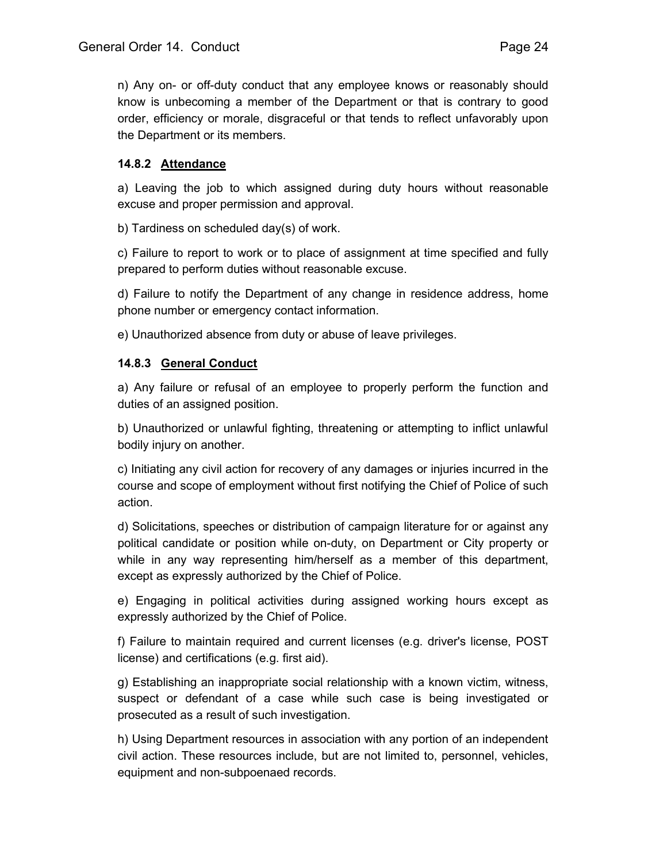n) Any on- or off-duty conduct that any employee knows or reasonably should know is unbecoming a member of the Department or that is contrary to good order, efficiency or morale, disgraceful or that tends to reflect unfavorably upon the Department or its members.

## 14.8.2 Attendance

a) Leaving the job to which assigned during duty hours without reasonable excuse and proper permission and approval.

b) Tardiness on scheduled day(s) of work.

c) Failure to report to work or to place of assignment at time specified and fully prepared to perform duties without reasonable excuse.

d) Failure to notify the Department of any change in residence address, home phone number or emergency contact information.

e) Unauthorized absence from duty or abuse of leave privileges.

## 14.8.3 General Conduct

a) Any failure or refusal of an employee to properly perform the function and duties of an assigned position.

b) Unauthorized or unlawful fighting, threatening or attempting to inflict unlawful bodily injury on another.

c) Initiating any civil action for recovery of any damages or injuries incurred in the course and scope of employment without first notifying the Chief of Police of such action.

d) Solicitations, speeches or distribution of campaign literature for or against any political candidate or position while on-duty, on Department or City property or while in any way representing him/herself as a member of this department, except as expressly authorized by the Chief of Police.

e) Engaging in political activities during assigned working hours except as expressly authorized by the Chief of Police.

f) Failure to maintain required and current licenses (e.g. driver's license, POST license) and certifications (e.g. first aid).

g) Establishing an inappropriate social relationship with a known victim, witness, suspect or defendant of a case while such case is being investigated or prosecuted as a result of such investigation.

h) Using Department resources in association with any portion of an independent civil action. These resources include, but are not limited to, personnel, vehicles, equipment and non-subpoenaed records.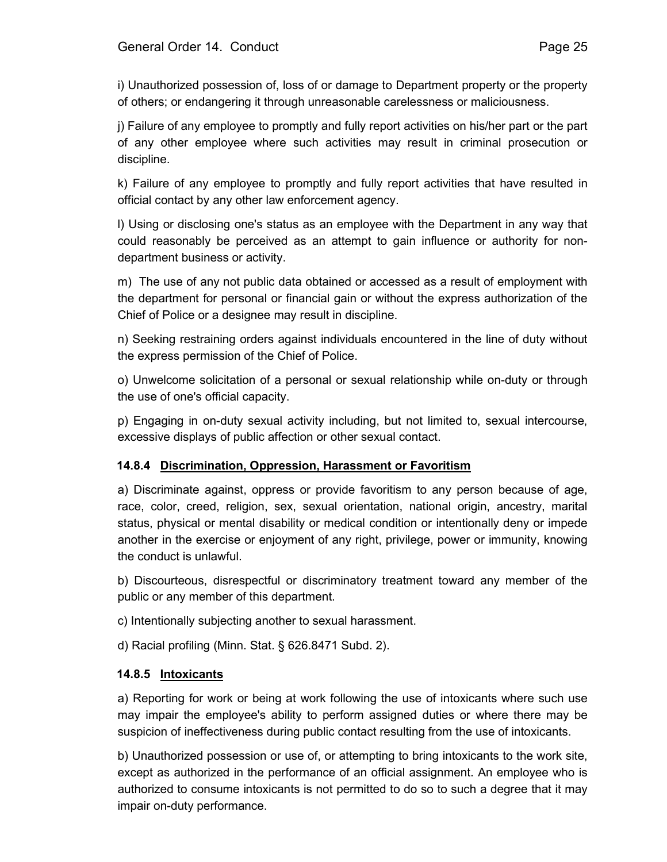i) Unauthorized possession of, loss of or damage to Department property or the property of others; or endangering it through unreasonable carelessness or maliciousness.

j) Failure of any employee to promptly and fully report activities on his/her part or the part of any other employee where such activities may result in criminal prosecution or discipline.

k) Failure of any employee to promptly and fully report activities that have resulted in official contact by any other law enforcement agency.

l) Using or disclosing one's status as an employee with the Department in any way that could reasonably be perceived as an attempt to gain influence or authority for nondepartment business or activity.

m) The use of any not public data obtained or accessed as a result of employment with the department for personal or financial gain or without the express authorization of the Chief of Police or a designee may result in discipline.

n) Seeking restraining orders against individuals encountered in the line of duty without the express permission of the Chief of Police.

o) Unwelcome solicitation of a personal or sexual relationship while on-duty or through the use of one's official capacity.

p) Engaging in on-duty sexual activity including, but not limited to, sexual intercourse, excessive displays of public affection or other sexual contact.

## 14.8.4 Discrimination, Oppression, Harassment or Favoritism

a) Discriminate against, oppress or provide favoritism to any person because of age, race, color, creed, religion, sex, sexual orientation, national origin, ancestry, marital status, physical or mental disability or medical condition or intentionally deny or impede another in the exercise or enjoyment of any right, privilege, power or immunity, knowing the conduct is unlawful.

b) Discourteous, disrespectful or discriminatory treatment toward any member of the public or any member of this department.

c) Intentionally subjecting another to sexual harassment.

d) Racial profiling (Minn. Stat. § 626.8471 Subd. 2).

## 14.8.5 Intoxicants

a) Reporting for work or being at work following the use of intoxicants where such use may impair the employee's ability to perform assigned duties or where there may be suspicion of ineffectiveness during public contact resulting from the use of intoxicants.

b) Unauthorized possession or use of, or attempting to bring intoxicants to the work site, except as authorized in the performance of an official assignment. An employee who is authorized to consume intoxicants is not permitted to do so to such a degree that it may impair on-duty performance.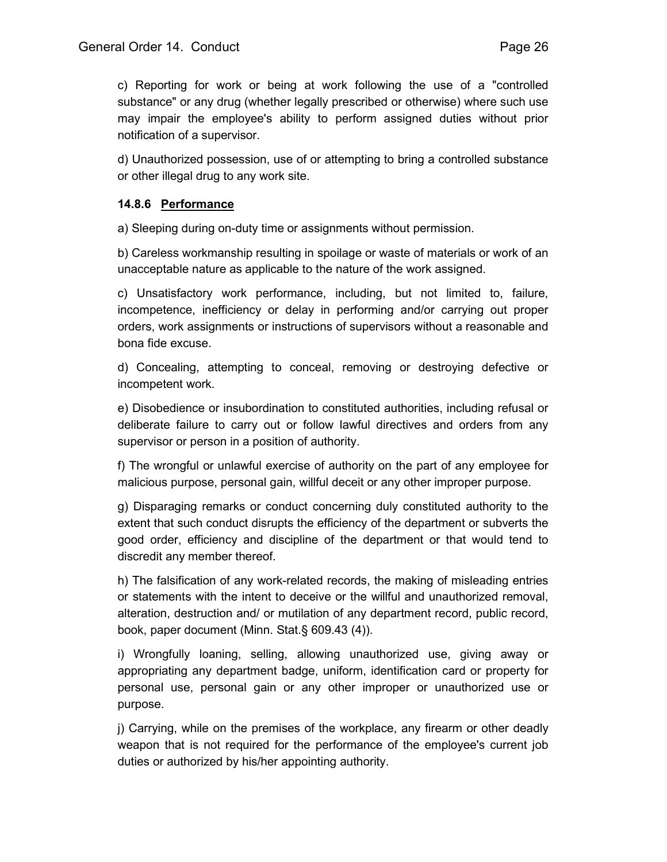c) Reporting for work or being at work following the use of a "controlled substance" or any drug (whether legally prescribed or otherwise) where such use may impair the employee's ability to perform assigned duties without prior notification of a supervisor.

d) Unauthorized possession, use of or attempting to bring a controlled substance or other illegal drug to any work site.

## 14.8.6 Performance

a) Sleeping during on-duty time or assignments without permission.

b) Careless workmanship resulting in spoilage or waste of materials or work of an unacceptable nature as applicable to the nature of the work assigned.

c) Unsatisfactory work performance, including, but not limited to, failure, incompetence, inefficiency or delay in performing and/or carrying out proper orders, work assignments or instructions of supervisors without a reasonable and bona fide excuse.

d) Concealing, attempting to conceal, removing or destroying defective or incompetent work.

e) Disobedience or insubordination to constituted authorities, including refusal or deliberate failure to carry out or follow lawful directives and orders from any supervisor or person in a position of authority.

f) The wrongful or unlawful exercise of authority on the part of any employee for malicious purpose, personal gain, willful deceit or any other improper purpose.

g) Disparaging remarks or conduct concerning duly constituted authority to the extent that such conduct disrupts the efficiency of the department or subverts the good order, efficiency and discipline of the department or that would tend to discredit any member thereof.

h) The falsification of any work-related records, the making of misleading entries or statements with the intent to deceive or the willful and unauthorized removal, alteration, destruction and/ or mutilation of any department record, public record, book, paper document (Minn. Stat.§ 609.43 (4)).

i) Wrongfully loaning, selling, allowing unauthorized use, giving away or appropriating any department badge, uniform, identification card or property for personal use, personal gain or any other improper or unauthorized use or purpose.

j) Carrying, while on the premises of the workplace, any firearm or other deadly weapon that is not required for the performance of the employee's current job duties or authorized by his/her appointing authority.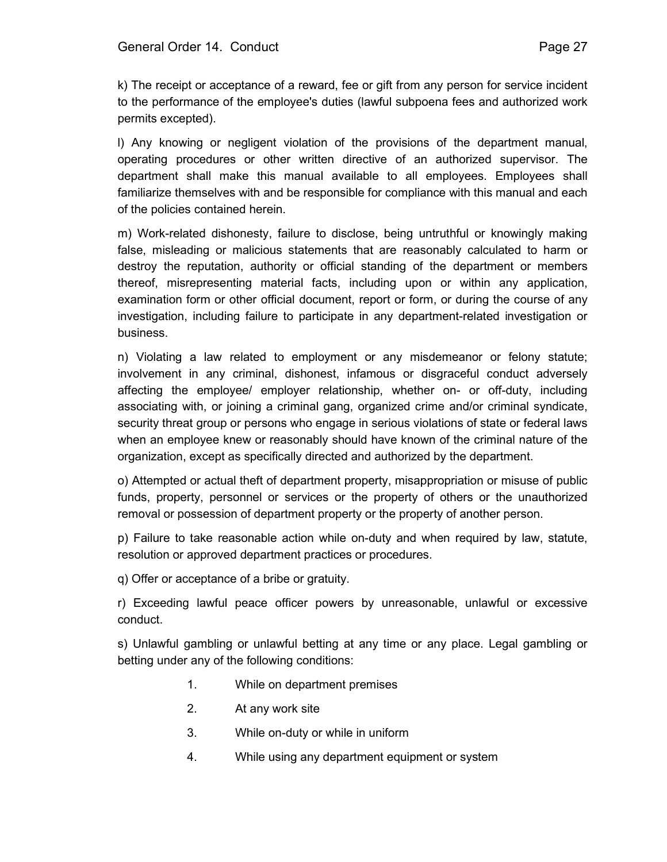k) The receipt or acceptance of a reward, fee or gift from any person for service incident to the performance of the employee's duties (lawful subpoena fees and authorized work permits excepted).

l) Any knowing or negligent violation of the provisions of the department manual, operating procedures or other written directive of an authorized supervisor. The department shall make this manual available to all employees. Employees shall familiarize themselves with and be responsible for compliance with this manual and each of the policies contained herein.

m) Work-related dishonesty, failure to disclose, being untruthful or knowingly making false, misleading or malicious statements that are reasonably calculated to harm or destroy the reputation, authority or official standing of the department or members thereof, misrepresenting material facts, including upon or within any application, examination form or other official document, report or form, or during the course of any investigation, including failure to participate in any department-related investigation or business.

n) Violating a law related to employment or any misdemeanor or felony statute; involvement in any criminal, dishonest, infamous or disgraceful conduct adversely affecting the employee/ employer relationship, whether on- or off-duty, including associating with, or joining a criminal gang, organized crime and/or criminal syndicate, security threat group or persons who engage in serious violations of state or federal laws when an employee knew or reasonably should have known of the criminal nature of the organization, except as specifically directed and authorized by the department.

o) Attempted or actual theft of department property, misappropriation or misuse of public funds, property, personnel or services or the property of others or the unauthorized removal or possession of department property or the property of another person.

p) Failure to take reasonable action while on-duty and when required by law, statute, resolution or approved department practices or procedures.

q) Offer or acceptance of a bribe or gratuity.

r) Exceeding lawful peace officer powers by unreasonable, unlawful or excessive conduct.

s) Unlawful gambling or unlawful betting at any time or any place. Legal gambling or betting under any of the following conditions:

- 1. While on department premises
- 2. At any work site
- 3. While on-duty or while in uniform
- 4. While using any department equipment or system